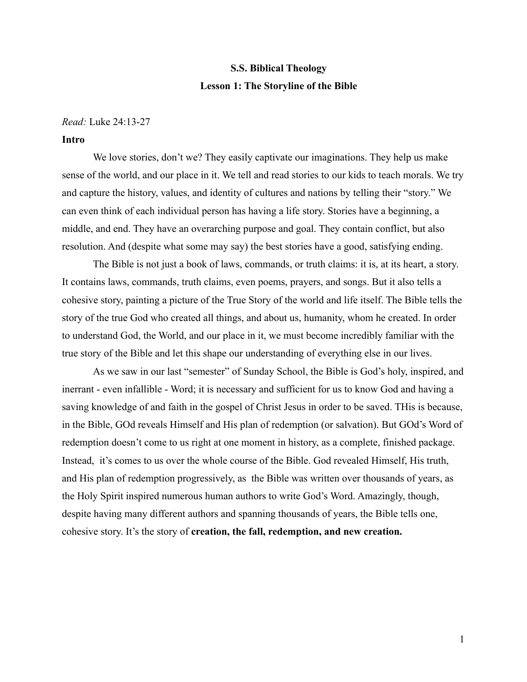# **S.S. Biblical Theology Lesson 1: The Storyline of the Bible**

#### *Read:* Luke 24:13-27

#### **Intro**

We love stories, don't we? They easily captivate our imaginations. They help us make sense of the world, and our place in it. We tell and read stories to our kids to teach morals. We try and capture the history, values, and identity of cultures and nations by telling their "story." We can even think of each individual person has having a life story. Stories have a beginning, a middle, and end. They have an overarching purpose and goal. They contain conflict, but also resolution. And (despite what some may say) the best stories have a good, satisfying ending.

The Bible is not just a book of laws, commands, or truth claims: it is, at its heart, a story. It contains laws, commands, truth claims, even poems, prayers, and songs. But it also tells a cohesive story, painting a picture of the True Story of the world and life itself. The Bible tells the story of the true God who created all things, and about us, humanity, whom he created. In order to understand God, the World, and our place in it, we must become incredibly familiar with the true story of the Bible and let this shape our understanding of everything else in our lives.

As we saw in our last "semester" of Sunday School, the Bible is God's holy, inspired, and inerrant - even infallible - Word; it is necessary and sufficient for us to know God and having a saving knowledge of and faith in the gospel of Christ Jesus in order to be saved. THis is because, in the Bible, GOd reveals Himself and His plan of redemption (or salvation). But GOd's Word of redemption doesn't come to us right at one moment in history, as a complete, finished package. Instead, it's comes to us over the whole course of the Bible. God revealed Himself, His truth, and His plan of redemption progressively, as the Bible was written over thousands of years, as the Holy Spirit inspired numerous human authors to write God's Word. Amazingly, though, despite having many different authors and spanning thousands of years, the Bible tells one, cohesive story. It's the story of **creation, the fall, redemption, and new creation.**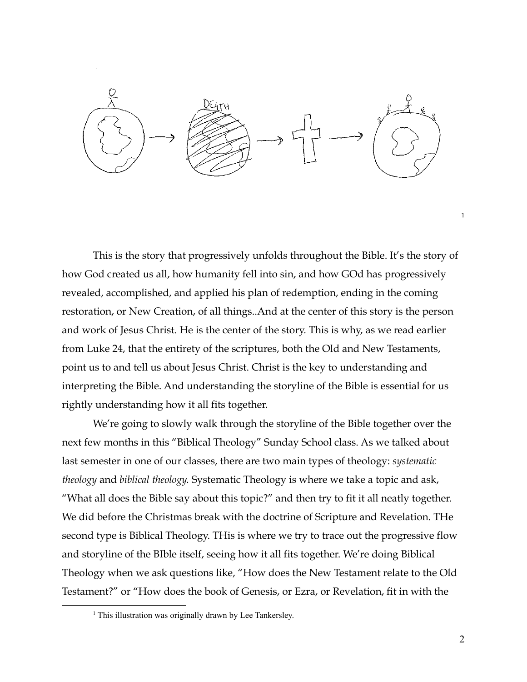

This is the story that progressively unfolds throughout the Bible. It's the story of how God created us all, how humanity fell into sin, and how GOd has progressively revealed, accomplished, and applied his plan of redemption, ending in the coming restoration, or New Creation, of all things..And at the center of this story is the person and work of Jesus Christ. He is the center of the story. This is why, as we read earlier from Luke 24, that the entirety of the scriptures, both the Old and New Testaments, point us to and tell us about Jesus Christ. Christ is the key to understanding and interpreting the Bible. And understanding the storyline of the Bible is essential for us rightly understanding how it all fits together.

We're going to slowly walk through the storyline of the Bible together over the next few months in this "Biblical Theology" Sunday School class. As we talked about last semester in one of our classes, there are two main types of theology: *systematic theology* and *biblical theology.* Systematic Theology is where we take a topic and ask, "What all does the Bible say about this topic?" and then try to fit it all neatly together. We did before the Christmas break with the doctrine of Scripture and Revelation. THe second type is Biblical Theology. THis is where we try to trace out the progressive flow and storyline of the BIble itself, seeing how it all fits together. We're doing Biblical Theology when we ask questions like, "How does the New Testament relate to the Old Testament?" or "How does the book of Genesis, or Ezra, or Revelation, fit in with the

1

<sup>&</sup>lt;sup>1</sup> This illustration was originally drawn by Lee Tankersley.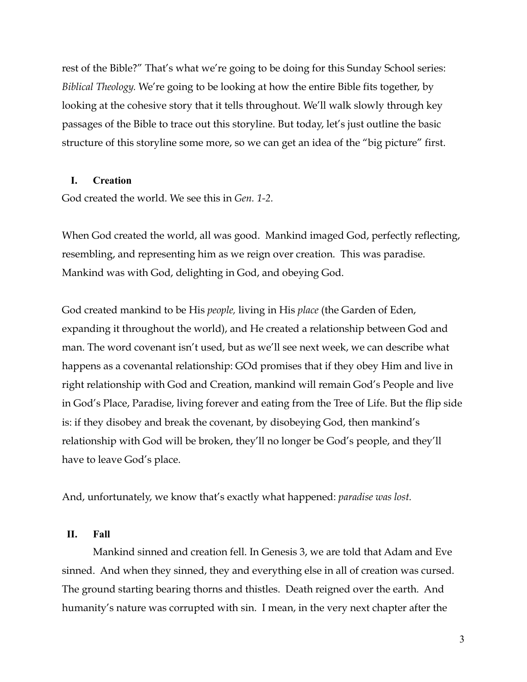rest of the Bible?" That's what we're going to be doing for this Sunday School series: *Biblical Theology.* We're going to be looking at how the entire Bible fits together, by looking at the cohesive story that it tells throughout. We'll walk slowly through key passages of the Bible to trace out this storyline. But today, let's just outline the basic structure of this storyline some more, so we can get an idea of the "big picture" first.

### **I. Creation**

God created the world. We see this in *Gen. 1-2.*

When God created the world, all was good. Mankind imaged God, perfectly reflecting, resembling, and representing him as we reign over creation. This was paradise. Mankind was with God, delighting in God, and obeying God.

God created mankind to be His *people,* living in His *place* (the Garden of Eden, expanding it throughout the world), and He created a relationship between God and man. The word covenant isn't used, but as we'll see next week, we can describe what happens as a covenantal relationship: GOd promises that if they obey Him and live in right relationship with God and Creation, mankind will remain God's People and live in God's Place, Paradise, living forever and eating from the Tree of Life. But the flip side is: if they disobey and break the covenant, by disobeying God, then mankind's relationship with God will be broken, they'll no longer be God's people, and they'll have to leave God's place.

And, unfortunately, we know that's exactly what happened: *paradise was lost.*

### **II. Fall**

Mankind sinned and creation fell. In Genesis 3, we are told that Adam and Eve sinned. And when they sinned, they and everything else in all of creation was cursed. The ground starting bearing thorns and thistles. Death reigned over the earth. And humanity's nature was corrupted with sin. I mean, in the very next chapter after the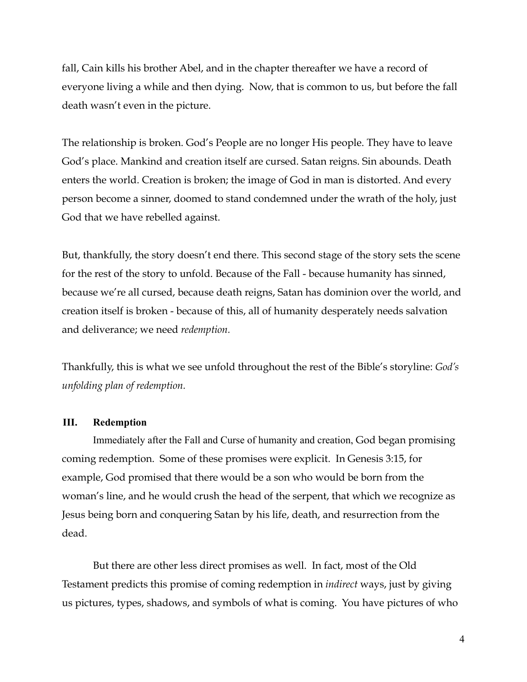fall, Cain kills his brother Abel, and in the chapter thereafter we have a record of everyone living a while and then dying. Now, that is common to us, but before the fall death wasn't even in the picture.

The relationship is broken. God's People are no longer His people. They have to leave God's place. Mankind and creation itself are cursed. Satan reigns. Sin abounds. Death enters the world. Creation is broken; the image of God in man is distorted. And every person become a sinner, doomed to stand condemned under the wrath of the holy, just God that we have rebelled against.

But, thankfully, the story doesn't end there. This second stage of the story sets the scene for the rest of the story to unfold. Because of the Fall - because humanity has sinned, because we're all cursed, because death reigns, Satan has dominion over the world, and creation itself is broken - because of this, all of humanity desperately needs salvation and deliverance; we need *redemption.*

Thankfully, this is what we see unfold throughout the rest of the Bible's storyline: *God's unfolding plan of redemption.*

## **III. Redemption**

Immediately after the Fall and Curse of humanity and creation, God began promising coming redemption. Some of these promises were explicit. In Genesis 3:15, for example, God promised that there would be a son who would be born from the woman's line, and he would crush the head of the serpent, that which we recognize as Jesus being born and conquering Satan by his life, death, and resurrection from the dead.

But there are other less direct promises as well. In fact, most of the Old Testament predicts this promise of coming redemption in *indirect* ways, just by giving us pictures, types, shadows, and symbols of what is coming. You have pictures of who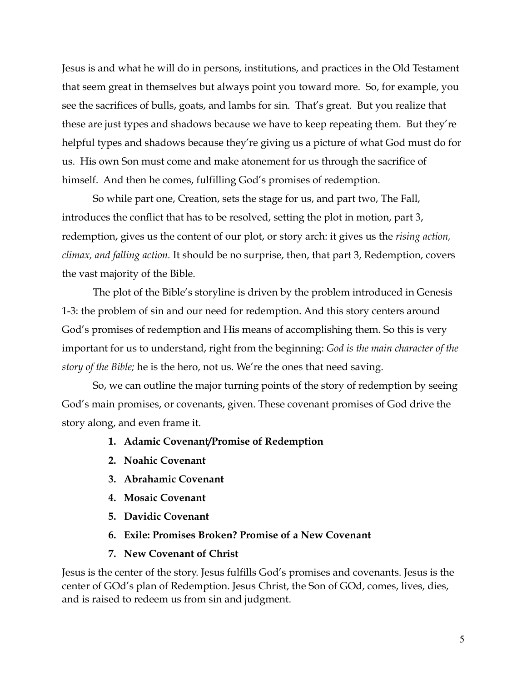Jesus is and what he will do in persons, institutions, and practices in the Old Testament that seem great in themselves but always point you toward more. So, for example, you see the sacrifices of bulls, goats, and lambs for sin. That's great. But you realize that these are just types and shadows because we have to keep repeating them. But they're helpful types and shadows because they're giving us a picture of what God must do for us. His own Son must come and make atonement for us through the sacrifice of himself. And then he comes, fulfilling God's promises of redemption.

So while part one, Creation, sets the stage for us, and part two, The Fall, introduces the conflict that has to be resolved, setting the plot in motion, part 3, redemption, gives us the content of our plot, or story arch: it gives us the *rising action, climax, and falling action.* It should be no surprise, then, that part 3, Redemption, covers the vast majority of the Bible.

The plot of the Bible's storyline is driven by the problem introduced in Genesis 1-3: the problem of sin and our need for redemption. And this story centers around God's promises of redemption and His means of accomplishing them. So this is very important for us to understand, right from the beginning: *God is the main character of the story of the Bible;* he is the hero, not us. We're the ones that need saving.

So, we can outline the major turning points of the story of redemption by seeing God's main promises, or covenants, given. These covenant promises of God drive the story along, and even frame it.

- **1. Adamic Covenant/Promise of Redemption**
- **2. Noahic Covenant**
- **3. Abrahamic Covenant**
- **4. Mosaic Covenant**
- **5. Davidic Covenant**
- **6. Exile: Promises Broken? Promise of a New Covenant**
- **7. New Covenant of Christ**

Jesus is the center of the story. Jesus fulfills God's promises and covenants. Jesus is the center of GOd's plan of Redemption. Jesus Christ, the Son of GOd, comes, lives, dies, and is raised to redeem us from sin and judgment.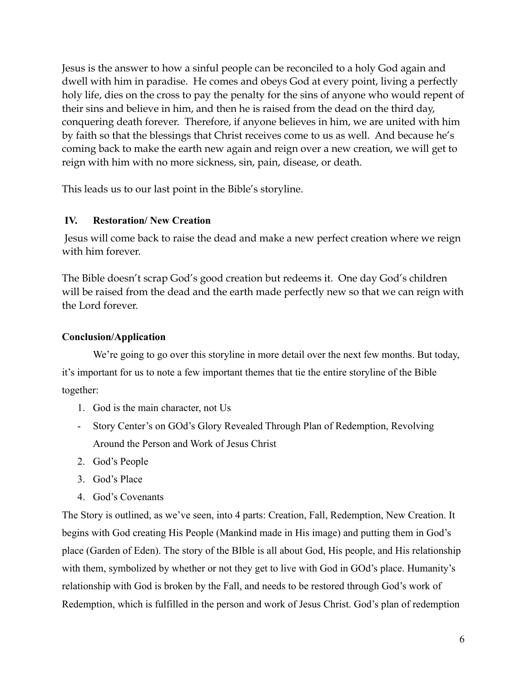Jesus is the answer to how a sinful people can be reconciled to a holy God again and dwell with him in paradise. He comes and obeys God at every point, living a perfectly holy life, dies on the cross to pay the penalty for the sins of anyone who would repent of their sins and believe in him, and then he is raised from the dead on the third day, conquering death forever. Therefore, if anyone believes in him, we are united with him by faith so that the blessings that Christ receives come to us as well. And because he's coming back to make the earth new again and reign over a new creation, we will get to reign with him with no more sickness, sin, pain, disease, or death.

This leads us to our last point in the Bible's storyline.

## **IV. Restoration/ New Creation**

Jesus will come back to raise the dead and make a new perfect creation where we reign with him forever.

The Bible doesn't scrap God's good creation but redeems it. One day God's children will be raised from the dead and the earth made perfectly new so that we can reign with the Lord forever.

## **Conclusion/Application**

We're going to go over this storyline in more detail over the next few months. But today, it's important for us to note a few important themes that tie the entire storyline of the Bible together:

- 1. God is the main character, not Us
- Story Center's on GOd's Glory Revealed Through Plan of Redemption, Revolving Around the Person and Work of Jesus Christ
- 2. God's People
- 3. God's Place
- 4. God's Covenants

The Story is outlined, as we've seen, into 4 parts: Creation, Fall, Redemption, New Creation. It begins with God creating His People (Mankind made in His image) and putting them in God's place (Garden of Eden). The story of the BIble is all about God, His people, and His relationship with them, symbolized by whether or not they get to live with God in GOd's place. Humanity's relationship with God is broken by the Fall, and needs to be restored through God's work of Redemption, which is fulfilled in the person and work of Jesus Christ. God's plan of redemption